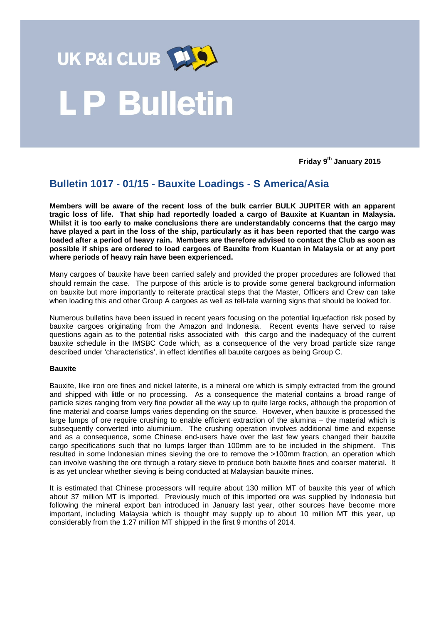

# **Bulletin**

**Friday 9th January 2015**

## **Bulletin 1017 - 01/15 - Bauxite Loadings - S America/Asia**

**Members will be aware of the recent loss of the bulk carrier BULK JUPITER with an apparent tragic loss of life. That ship had reportedly loaded a cargo of Bauxite at Kuantan in Malaysia. Whilst it is too early to make conclusions there are understandably concerns that the cargo may have played a part in the loss of the ship, particularly as it has been reported that the cargo was loaded after a period of heavy rain. Members are therefore advised to contact the Club as soon as possible if ships are ordered to load cargoes of Bauxite from Kuantan in Malaysia or at any port where periods of heavy rain have been experienced.** 

Many cargoes of bauxite have been carried safely and provided the proper procedures are followed that should remain the case. The purpose of this article is to provide some general background information on bauxite but more importantly to reiterate practical steps that the Master, Officers and Crew can take when loading this and other Group A cargoes as well as tell-tale warning signs that should be looked for.

Numerous bulletins have been issued in recent years focusing on the potential liquefaction risk posed by bauxite cargoes originating from the Amazon and Indonesia. Recent events have served to raise questions again as to the potential risks associated with this cargo and the inadequacy of the current bauxite schedule in the IMSBC Code which, as a consequence of the very broad particle size range described under 'characteristics', in effect identifies all bauxite cargoes as being Group C.

### **Bauxite**

Bauxite, like iron ore fines and nickel laterite, is a mineral ore which is simply extracted from the ground and shipped with little or no processing. As a consequence the material contains a broad range of particle sizes ranging from very fine powder all the way up to quite large rocks, although the proportion of fine material and coarse lumps varies depending on the source. However, when bauxite is processed the large lumps of ore require crushing to enable efficient extraction of the alumina – the material which is subsequently converted into aluminium. The crushing operation involves additional time and expense and as a consequence, some Chinese end-users have over the last few years changed their bauxite cargo specifications such that no lumps larger than 100mm are to be included in the shipment. This resulted in some Indonesian mines sieving the ore to remove the >100mm fraction, an operation which can involve washing the ore through a rotary sieve to produce both bauxite fines and coarser material. It is as yet unclear whether sieving is being conducted at Malaysian bauxite mines.

It is estimated that Chinese processors will require about 130 million MT of bauxite this year of which about 37 million MT is imported. Previously much of this imported ore was supplied by Indonesia but following the mineral export ban introduced in January last year, other sources have become more important, including Malaysia which is thought may supply up to about 10 million MT this year, up considerably from the 1.27 million MT shipped in the first 9 months of 2014.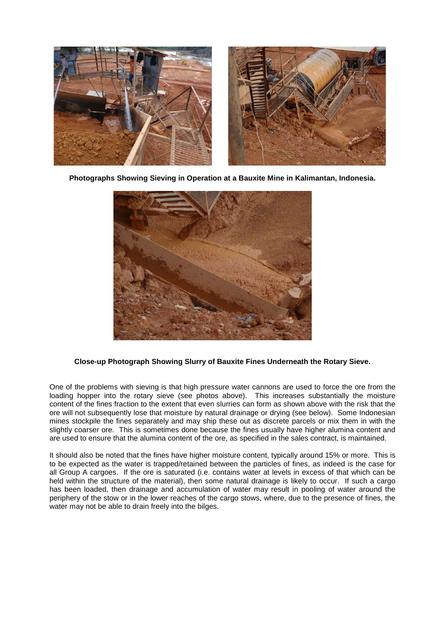

**Photographs Showing Sieving in Operation at a Bauxite Mine in Kalimantan, Indonesia.**



### **Close-up Photograph Showing Slurry of Bauxite Fines Underneath the Rotary Sieve.**

One of the problems with sieving is that high pressure water cannons are used to force the ore from the loading hopper into the rotary sieve (see photos above). This increases substantially the moisture content of the fines fraction to the extent that even slurries can form as shown above with the risk that the ore will not subsequently lose that moisture by natural drainage or drying (see below). Some Indonesian mines stockpile the fines separately and may ship these out as discrete parcels or mix them in with the slightly coarser ore. This is sometimes done because the fines usually have higher alumina content and are used to ensure that the alumina content of the ore, as specified in the sales contract, is maintained.

It should also be noted that the fines have higher moisture content, typically around 15% or more. This is to be expected as the water is trapped/retained between the particles of fines, as indeed is the case for all Group A cargoes. If the ore is saturated (i.e. contains water at levels in excess of that which can be held within the structure of the material), then some natural drainage is likely to occur. If such a cargo has been loaded, then drainage and accumulation of water may result in pooling of water around the periphery of the stow or in the lower reaches of the cargo stows, where, due to the presence of fines, the water may not be able to drain freely into the bilges.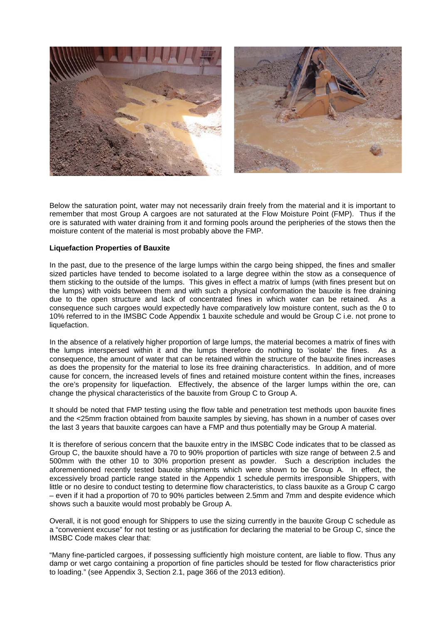

Below the saturation point, water may not necessarily drain freely from the material and it is important to remember that most Group A cargoes are not saturated at the Flow Moisture Point (FMP). Thus if the ore is saturated with water draining from it and forming pools around the peripheries of the stows then the moisture content of the material is most probably above the FMP.

#### **Liquefaction Properties of Bauxite**

In the past, due to the presence of the large lumps within the cargo being shipped, the fines and smaller sized particles have tended to become isolated to a large degree within the stow as a consequence of them sticking to the outside of the lumps. This gives in effect a matrix of lumps (with fines present but on the lumps) with voids between them and with such a physical conformation the bauxite is free draining due to the open structure and lack of concentrated fines in which water can be retained. As a consequence such cargoes would expectedly have comparatively low moisture content, such as the 0 to 10% referred to in the IMSBC Code Appendix 1 bauxite schedule and would be Group C i.e. not prone to liquefaction.

In the absence of a relatively higher proportion of large lumps, the material becomes a matrix of fines with the lumps interspersed within it and the lumps therefore do nothing to 'isolate' the fines. As a consequence, the amount of water that can be retained within the structure of the bauxite fines increases as does the propensity for the material to lose its free draining characteristics. In addition, and of more cause for concern, the increased levels of fines and retained moisture content within the fines, increases the ore's propensity for liquefaction. Effectively, the absence of the larger lumps within the ore, can change the physical characteristics of the bauxite from Group C to Group A.

It should be noted that FMP testing using the flow table and penetration test methods upon bauxite fines and the <25mm fraction obtained from bauxite samples by sieving, has shown in a number of cases over the last 3 years that bauxite cargoes can have a FMP and thus potentially may be Group A material.

It is therefore of serious concern that the bauxite entry in the IMSBC Code indicates that to be classed as Group C, the bauxite should have a 70 to 90% proportion of particles with size range of between 2.5 and 500mm with the other 10 to 30% proportion present as powder. Such a description includes the aforementioned recently tested bauxite shipments which were shown to be Group A. In effect, the excessively broad particle range stated in the Appendix 1 schedule permits irresponsible Shippers, with little or no desire to conduct testing to determine flow characteristics, to class bauxite as a Group C cargo – even if it had a proportion of 70 to 90% particles between 2.5mm and 7mm and despite evidence which shows such a bauxite would most probably be Group A.

Overall, it is not good enough for Shippers to use the sizing currently in the bauxite Group C schedule as a "convenient excuse" for not testing or as justification for declaring the material to be Group C, since the IMSBC Code makes clear that:

"Many fine-particled cargoes, if possessing sufficiently high moisture content, are liable to flow. Thus any damp or wet cargo containing a proportion of fine particles should be tested for flow characteristics prior to loading." (see Appendix 3, Section 2.1, page 366 of the 2013 edition).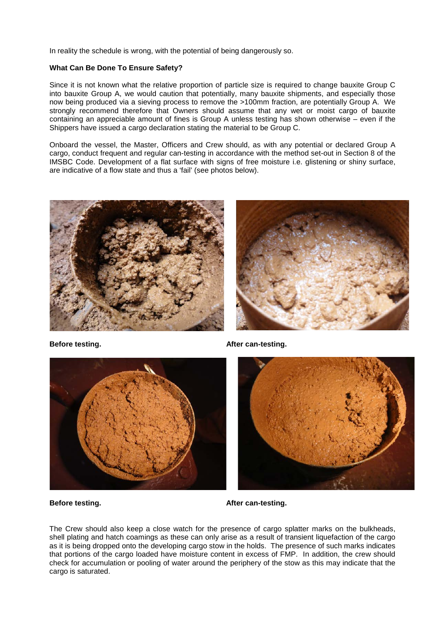In reality the schedule is wrong, with the potential of being dangerously so.

#### **What Can Be Done To Ensure Safety?**

Since it is not known what the relative proportion of particle size is required to change bauxite Group C into bauxite Group A, we would caution that potentially, many bauxite shipments, and especially those now being produced via a sieving process to remove the >100mm fraction, are potentially Group A. We strongly recommend therefore that Owners should assume that any wet or moist cargo of bauxite containing an appreciable amount of fines is Group A unless testing has shown otherwise – even if the Shippers have issued a cargo declaration stating the material to be Group C.

Onboard the vessel, the Master, Officers and Crew should, as with any potential or declared Group A cargo, conduct frequent and regular can-testing in accordance with the method set-out in Section 8 of the IMSBC Code. Development of a flat surface with signs of free moisture i.e. glistening or shiny surface, are indicative of a flow state and thus a 'fail' (see photos below).







**Before testing. After can-testing.**



**Before testing. After can-testing.**

The Crew should also keep a close watch for the presence of cargo splatter marks on the bulkheads, shell plating and hatch coamings as these can only arise as a result of transient liquefaction of the cargo as it is being dropped onto the developing cargo stow in the holds. The presence of such marks indicates that portions of the cargo loaded have moisture content in excess of FMP. In addition, the crew should check for accumulation or pooling of water around the periphery of the stow as this may indicate that the cargo is saturated.